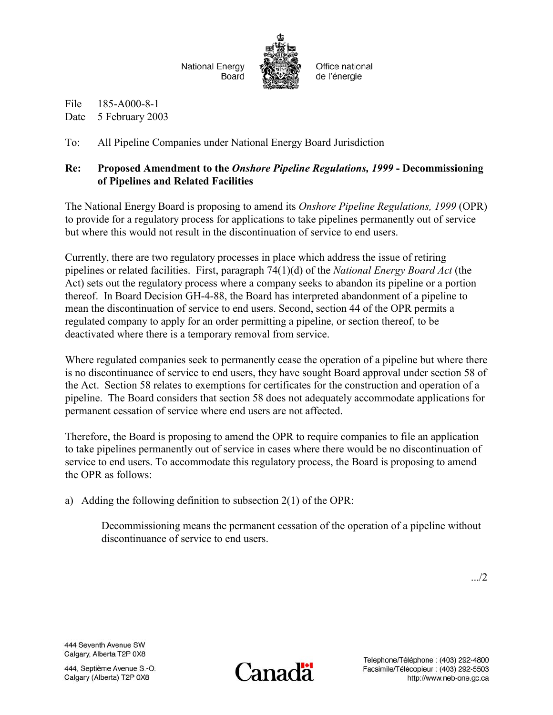

File 185-A000-8-1 Date 5 February 2003

To: All Pipeline Companies under National Energy Board Jurisdiction

## **Re: Proposed Amendment to the** *Onshore Pipeline Regulations, 1999* **- Decommissioning of Pipelines and Related Facilities**

The National Energy Board is proposing to amend its *Onshore Pipeline Regulations, 1999* (OPR) to provide for a regulatory process for applications to take pipelines permanently out of service but where this would not result in the discontinuation of service to end users.

Currently, there are two regulatory processes in place which address the issue of retiring pipelines or related facilities. First, paragraph 74(1)(d) of the *National Energy Board Act* (the Act) sets out the regulatory process where a company seeks to abandon its pipeline or a portion thereof. In Board Decision GH-4-88, the Board has interpreted abandonment of a pipeline to mean the discontinuation of service to end users. Second, section 44 of the OPR permits a regulated company to apply for an order permitting a pipeline, or section thereof, to be deactivated where there is a temporary removal from service.

Where regulated companies seek to permanently cease the operation of a pipeline but where there is no discontinuance of service to end users, they have sought Board approval under section 58 of the Act. Section 58 relates to exemptions for certificates for the construction and operation of a pipeline. The Board considers that section 58 does not adequately accommodate applications for permanent cessation of service where end users are not affected.

Therefore, the Board is proposing to amend the OPR to require companies to file an application to take pipelines permanently out of service in cases where there would be no discontinuation of service to end users. To accommodate this regulatory process, the Board is proposing to amend the OPR as follows:

a) Adding the following definition to subsection 2(1) of the OPR:

Decommissioning means the permanent cessation of the operation of a pipeline without discontinuance of service to end users.

.../2

444 Seventh Avenue SW Calgary, Alberta T2P 0X8

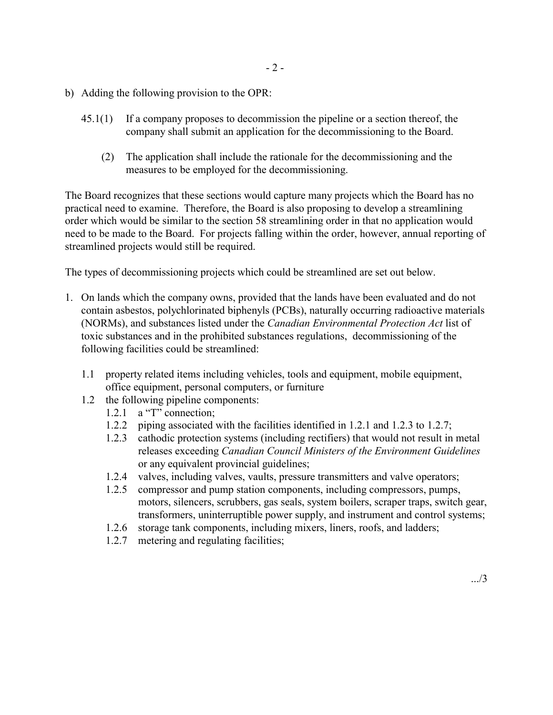- b) Adding the following provision to the OPR:
	- 45.1(1) If a company proposes to decommission the pipeline or a section thereof, the company shall submit an application for the decommissioning to the Board.
		- (2) The application shall include the rationale for the decommissioning and the measures to be employed for the decommissioning.

The Board recognizes that these sections would capture many projects which the Board has no practical need to examine. Therefore, the Board is also proposing to develop a streamlining order which would be similar to the section 58 streamlining order in that no application would need to be made to the Board. For projects falling within the order, however, annual reporting of streamlined projects would still be required.

The types of decommissioning projects which could be streamlined are set out below.

- 1. On lands which the company owns, provided that the lands have been evaluated and do not contain asbestos, polychlorinated biphenyls (PCBs), naturally occurring radioactive materials (NORMs), and substances listed under the *Canadian Environmental Protection Act* list of toxic substances and in the prohibited substances regulations, decommissioning of the following facilities could be streamlined:
	- 1.1 property related items including vehicles, tools and equipment, mobile equipment, office equipment, personal computers, or furniture
	- 1.2 the following pipeline components:
		- 1.2.1 a "T" connection;
		- 1.2.2 piping associated with the facilities identified in 1.2.1 and 1.2.3 to 1.2.7;
		- 1.2.3 cathodic protection systems (including rectifiers) that would not result in metal releases exceeding *Canadian Council Ministers of the Environment Guidelines* or any equivalent provincial guidelines;
		- 1.2.4 valves, including valves, vaults, pressure transmitters and valve operators;
		- 1.2.5 compressor and pump station components, including compressors, pumps, motors, silencers, scrubbers, gas seals, system boilers, scraper traps, switch gear, transformers, uninterruptible power supply, and instrument and control systems;
		- 1.2.6 storage tank components, including mixers, liners, roofs, and ladders;
		- 1.2.7 metering and regulating facilities;